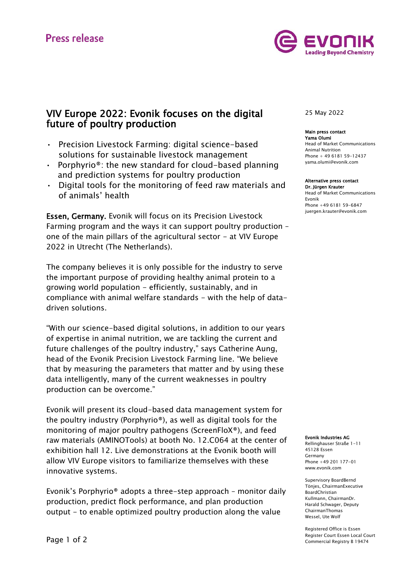

# VIV Europe 2022: Evonik focuses on the digital future of poultry production

- Precision Livestock Farming: digital science-based solutions for sustainable livestock management
- Porphyrio<sup>®</sup>: the new standard for cloud-based planning and prediction systems for poultry production
- Digital tools for the monitoring of feed raw materials and of animals' health

Essen, Germany. Evonik will focus on its Precision Livestock Farming program and the ways it can support poultry production – one of the main pillars of the agricultural sector  $-$  at VIV Europe 2022 in Utrecht (The Netherlands).

The company believes it is only possible for the industry to serve the important purpose of providing healthy animal protein to a growing world population - efficiently, sustainably, and in compliance with animal welfare standards - with the help of datadriven solutions.

"With our science-based digital solutions, in addition to our years of expertise in animal nutrition, we are tackling the current and future challenges of the poultry industry," says Catherine Aung, head of the Evonik Precision Livestock Farming line. "We believe that by measuring the parameters that matter and by using these data intelligently, many of the current weaknesses in poultry production can be overcome."

Evonik will present its cloud-based data management system for the poultry industry (Porphyrio®), as well as digital tools for the monitoring of major poultry pathogens (ScreenFloX®), and feed raw materials (AMINOTools) at booth No. 12.C064 at the center of exhibition hall 12. Live demonstrations at the Evonik booth will allow VIV Europe visitors to familiarize themselves with these innovative systems.

Evonik's Porphyrio® adopts a three-step approach – monitor daily production, predict flock performance, and plan production output - to enable optimized poultry production along the value

# 25 May 2022

# Main press contact

Yama Olumi Head of Market Communications Animal Nutrition Phone + 49 6181 59-12437 [yama.olumi@evonik.com](mailto:yama.olumi@evonik.com)

# Alternative press contact

Dr. Jürgen Krauter Head of Market Communications Evonik Phone +49 6181 59-6847 [juergen.krauter@evonik.com](mailto:juergen.krauter@evonik.com)

#### Evonik Industries AG

Rellinghauser Straße 1-11 45128 Essen Germany Phone +49 201 177-01 www.evonik.com

Supervisory BoardBernd Tönjes, ChairmanExecutive BoardChristian Kullmann, ChairmanDr. Harald Schwager, Deputy ChairmanThomas Wessel, Ute Wolf

Registered Office is Essen Register Court Essen Local Court Commercial Registry B 19474